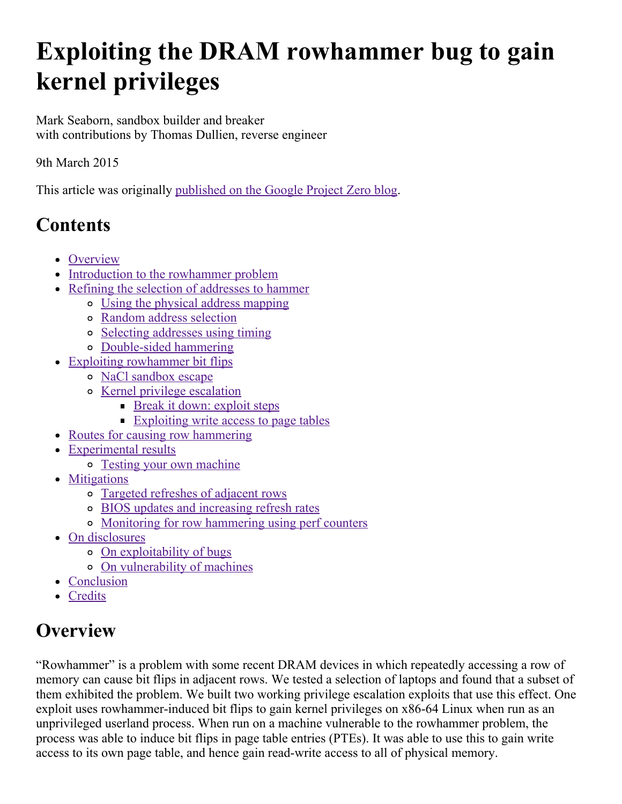# **Exploiting the DRAM rowhammer bug to gain kernel privileges**

Mark Seaborn, sandbox builder and breaker with contributions by Thomas Dullien, reverse engineer

9th March 2015

This article was originally [published](http://googleprojectzero.blogspot.com/2015/03/exploiting-dram-rowhammer-bug-to-gain.html) on the Google Project Zero blog.

# **Contents**

- [Overview](#page-0-0)
- [Introduction](#page-1-0) to the rowhammer problem
- Refining the selection of [addresses](#page-2-0) to hammer
	- Using the physical address [mapping](#page-2-1)
	- Random address [selection](#page-2-2)
	- Selecting [addresses](#page-3-1) using timing
	- [Doublesided](#page-3-2) hammering
- Exploiting [rowhammer](#page-3-0) bit flips
	- NaCl [sandbox](#page-4-0) escape
	- Kernel privilege [escalation](#page-5-0)
		- Break it down: [exploit](#page-5-1) steps
		- [Exploiting](#page-7-0) write access to page tables
- Routes for causing row [hammering](#page-7-1)
- [Experimental](#page-8-0) results
	- o Testing your own [machine](#page-10-3)
- [Mitigations](#page-10-2)
	- Targeted [refreshes](#page-10-1) of adjacent rows
	- BIOS updates and [increasing](#page-10-0) refresh rates
	- [Monitoring](#page-11-1) for row hammering using perf counters
- On [disclosures](#page-11-0)
	- o On [exploitability](#page-12-1) of bugs
	- On [vulnerability](#page-12-0) of machines
- [Conclusion](#page-13-1)
- [Credits](#page-13-0)

# <span id="page-0-0"></span>**Overview**

"Rowhammer" is a problem with some recent DRAM devices in which repeatedly accessing a row of memory can cause bit flips in adjacent rows. We tested a selection of laptops and found that a subset of them exhibited the problem. We built two working privilege escalation exploits that use this effect. One exploit uses rowhammer-induced bit flips to gain kernel privileges on x86-64 Linux when run as an unprivileged userland process. When run on a machine vulnerable to the rowhammer problem, the process was able to induce bit flips in page table entries (PTEs). It was able to use this to gain write access to its own page table, and hence gain read-write access to all of physical memory.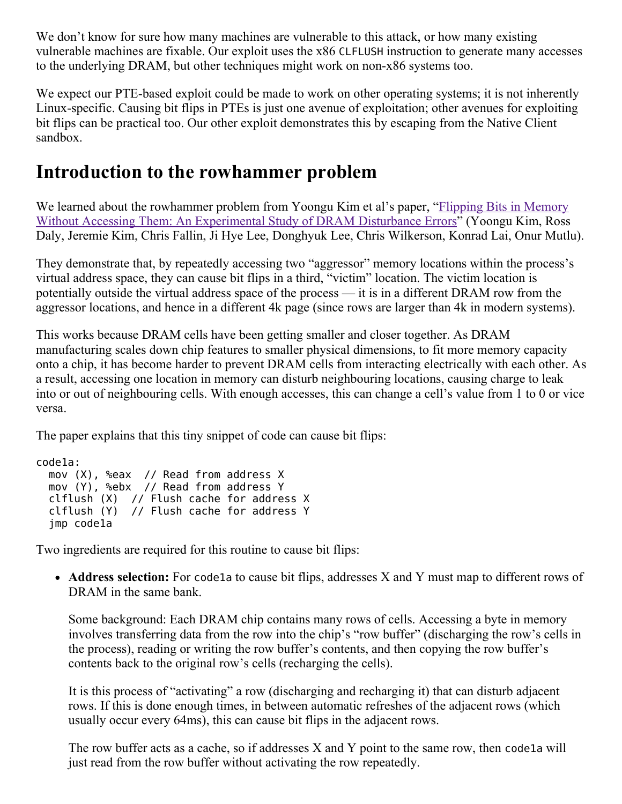We don't know for sure how many machines are vulnerable to this attack, or how many existing vulnerable machines are fixable. Our exploit uses the x86 CLFLUSH instruction to generate many accesses to the underlying DRAM, but other techniques might work on non-x86 systems too.

We expect our PTE-based exploit could be made to work on other operating systems; it is not inherently Linux-specific. Causing bit flips in PTEs is just one avenue of exploitation; other avenues for exploiting bit flips can be practical too. Our other exploit demonstrates this by escaping from the Native Client sandbox.

### <span id="page-1-0"></span>**Introduction to the rowhammer problem**

We learned about the rowhammer problem from Yoongu Kim et al's paper, "Flipping Bits in Memory" Without Accessing Them: An [Experimental](http://users.ece.cmu.edu/~yoonguk/papers/kim-isca14.pdf) Study of DRAM Disturbance Errors" (Yoongu Kim, Ross Daly, Jeremie Kim, Chris Fallin, Ji Hye Lee, Donghyuk Lee, Chris Wilkerson, Konrad Lai, Onur Mutlu).

They demonstrate that, by repeatedly accessing two "aggressor" memory locations within the process's virtual address space, they can cause bit flips in a third, "victim" location. The victim location is potentially outside the virtual address space of the process — it is in a different DRAM row from the aggressor locations, and hence in a different 4k page (since rows are larger than 4k in modern systems).

This works because DRAM cells have been getting smaller and closer together. As DRAM manufacturing scales down chip features to smaller physical dimensions, to fit more memory capacity onto a chip, it has become harder to prevent DRAM cells from interacting electrically with each other. As a result, accessing one location in memory can disturb neighbouring locations, causing charge to leak into or out of neighbouring cells. With enough accesses, this can change a cell's value from 1 to 0 or vice versa.

The paper explains that this tiny snippet of code can cause bit flips:

```
code1a:
mov (X), %eax // Read from address X
mov (Y), %ebx // Read from address Y
 clflush (X) // Flush cache for address X
 clflush (Y) // Flush cache for address Y
 jmp code1a
```
Two ingredients are required for this routine to cause bit flips:

• **Address selection:** For code1a to cause bit flips, addresses X and Y must map to different rows of DRAM in the same bank.

Some background: Each DRAM chip contains many rows of cells. Accessing a byte in memory involves transferring data from the row into the chip's "row buffer" (discharging the row's cells in the process), reading or writing the row buffer's contents, and then copying the row buffer's contents back to the original row's cells (recharging the cells).

It is this process of "activating" a row (discharging and recharging it) that can disturb adjacent rows. If this is done enough times, in between automatic refreshes of the adjacent rows (which usually occur every 64ms), this can cause bit flips in the adjacent rows.

The row buffer acts as a cache, so if addresses  $X$  and  $Y$  point to the same row, then code1a will just read from the row buffer without activating the row repeatedly.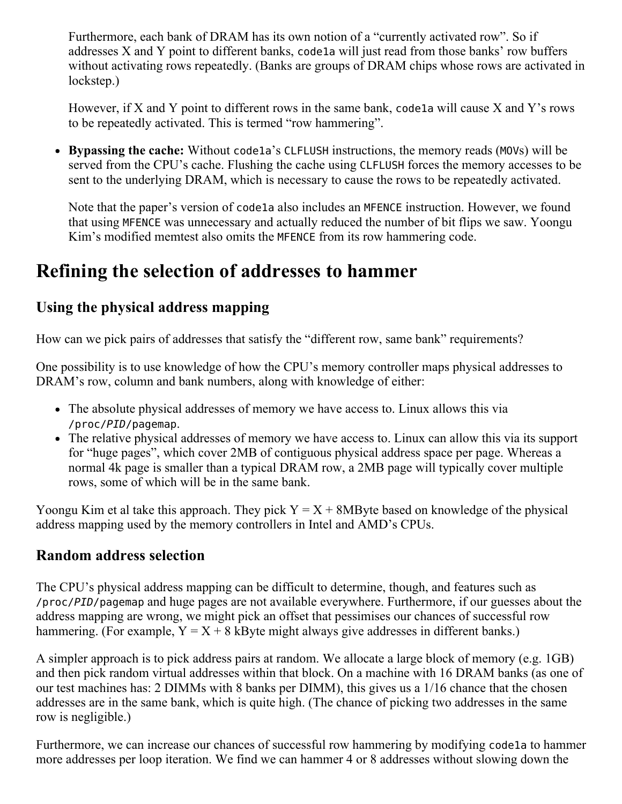Furthermore, each bank of DRAM has its own notion of a "currently activated row". So if addresses X and Y point to different banks, code1a will just read from those banks' row buffers without activating rows repeatedly. (Banks are groups of DRAM chips whose rows are activated in lockstep.)

However, if X and Y point to different rows in the same bank, code1a will cause X and Y's rows to be repeatedly activated. This is termed "row hammering".

• Bypassing the cache: Without code1a's CLFLUSH instructions, the memory reads (MOVs) will be served from the CPU's cache. Flushing the cache using CLFLUSH forces the memory accesses to be sent to the underlying DRAM, which is necessary to cause the rows to be repeatedly activated.

Note that the paper's version of code1a also includes an MFENCE instruction. However, we found that using MFENCE was unnecessary and actually reduced the number of bit flips we saw. Yoongu Kim's modified memtest also omits the MFENCE from its row hammering code.

### <span id="page-2-0"></span>**Refining the selection of addresses to hammer**

### <span id="page-2-1"></span>**Using the physical address mapping**

How can we pick pairs of addresses that satisfy the "different row, same bank" requirements?

One possibility is to use knowledge of how the CPU's memory controller maps physical addresses to DRAM's row, column and bank numbers, along with knowledge of either:

- The absolute physical addresses of memory we have access to. Linux allows this via /proc/*PID*/pagemap.
- The relative physical addresses of memory we have access to. Linux can allow this via its support for "huge pages", which cover 2MB of contiguous physical address space per page. Whereas a normal 4k page is smaller than a typical DRAM row, a 2MB page will typically cover multiple rows, some of which will be in the same bank.

Yoongu Kim et al take this approach. They pick  $Y = X + 8MB$ yte based on knowledge of the physical address mapping used by the memory controllers in Intel and AMD's CPUs.

#### <span id="page-2-2"></span>**Random address selection**

The CPU's physical address mapping can be difficult to determine, though, and features such as /proc/*PID*/pagemapand huge pages are not available everywhere. Furthermore, if our guesses about the address mapping are wrong, we might pick an offset that pessimises our chances of successful row hammering. (For example,  $Y = X + 8$  kByte might always give addresses in different banks.)

A simpler approach is to pick address pairs at random. We allocate a large block of memory (e.g. 1GB) and then pick random virtual addresses within that block. On a machine with 16 DRAM banks (as one of our test machines has: 2 DIMMs with 8 banks per DIMM), this gives us a 1/16 chance that the chosen addresses are in the same bank, which is quite high. (The chance of picking two addresses in the same row is negligible.)

Furthermore, we can increase our chances of successful row hammering by modifying code1a to hammer more addresses per loop iteration. We find we can hammer 4 or 8 addresses without slowing down the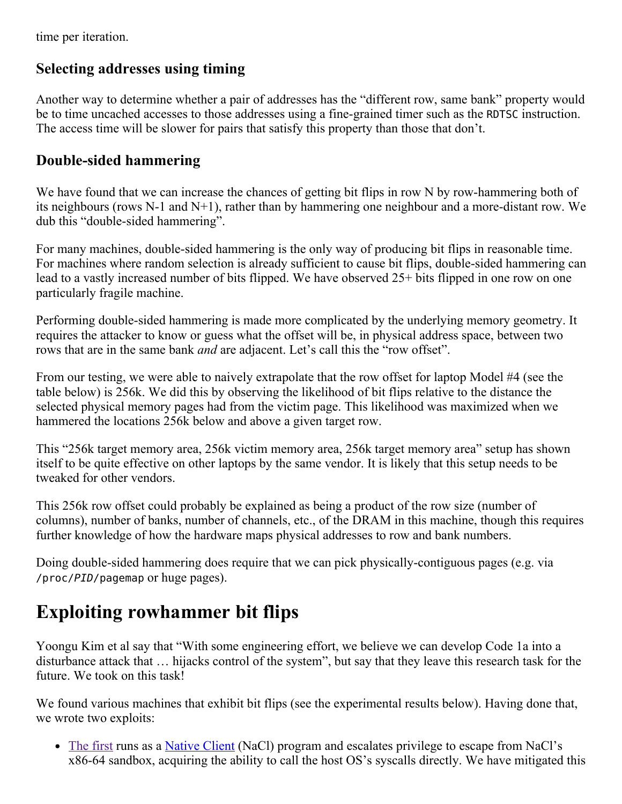time per iteration.

### <span id="page-3-1"></span>**Selecting addresses using timing**

Another way to determine whether a pair of addresses has the "different row, same bank" property would be to time uncached accesses to those addresses using a fine-grained timer such as the RDTSC instruction. The access time will be slower for pairs that satisfy this property than those that don't.

#### <span id="page-3-2"></span>**Doublesided hammering**

We have found that we can increase the chances of getting bit flips in row N by row-hammering both of its neighbours (rows N-1 and N+1), rather than by hammering one neighbour and a more-distant row. We dub this "double-sided hammering".

For many machines, double-sided hammering is the only way of producing bit flips in reasonable time. For machines where random selection is already sufficient to cause bit flips, double-sided hammering can lead to a vastly increased number of bits flipped. We have observed 25+ bits flipped in one row on one particularly fragile machine.

Performing double-sided hammering is made more complicated by the underlying memory geometry. It requires the attacker to know or guess what the offset will be, in physical address space, between two rows that are in the same bank *and* are adjacent. Let's call this the "row offset".

From our testing, we were able to naively extrapolate that the row offset for laptop Model #4 (see the table below) is 256k. We did this by observing the likelihood of bit flips relative to the distance the selected physical memory pages had from the victim page. This likelihood was maximized when we hammered the locations 256k below and above a given target row.

This "256k target memory area, 256k victim memory area, 256k target memory area" setup has shown itself to be quite effective on other laptops by the same vendor. It is likely that this setup needs to be tweaked for other vendors.

This 256k row offset could probably be explained as being a product of the row size (number of columns), number of banks, number of channels, etc., of the DRAM in this machine, though this requires further knowledge of how the hardware maps physical addresses to row and bank numbers.

Doing double-sided hammering does require that we can pick physically-contiguous pages (e.g. via /proc/*PID*/pagemapor huge pages).

## <span id="page-3-0"></span>**Exploiting rowhammer bit flips**

Yoongu Kim et al say that "With some engineering effort, we believe we can develop Code 1a into a disturbance attack that … hijacks control of the system", but say that they leave this research task for the future. We took on this task!

We found various machines that exhibit bit flips (see the experimental results below). Having done that, we wrote two exploits:

• The [first](https://code.google.com/p/google-security-research/issues/detail?id=284) runs as a [Native](https://developer.chrome.com/native-client) Client (NaCl) program and escalates privilege to escape from NaCl's x8664 sandbox, acquiring the ability to call the host OS's syscalls directly. We have mitigated this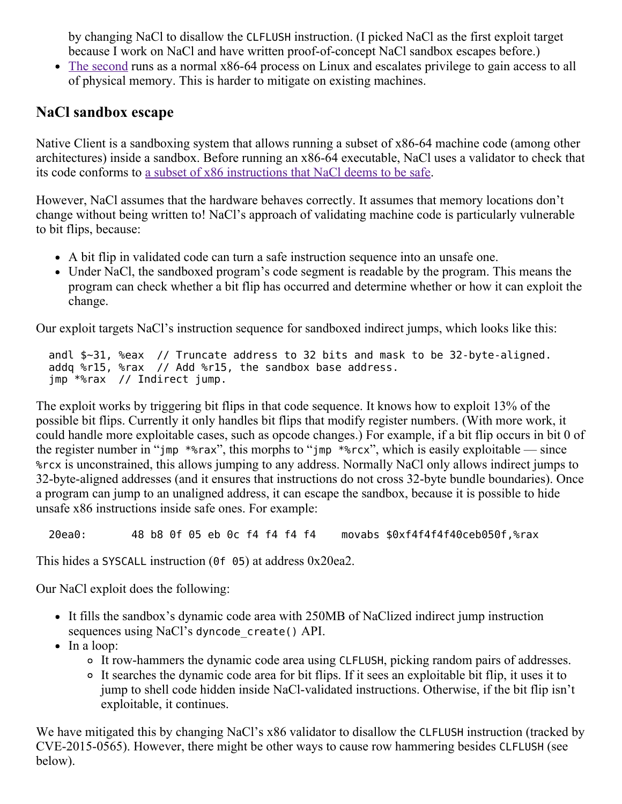by changing NaCl to disallow the CLFLUSH instruction. (I picked NaCl as the first exploit target because I work on NaCl and have written proof-of-concept NaCl sandbox escapes before.)

• The [second](https://code.google.com/p/google-security-research/issues/detail?id=283) runs as a normal x86-64 process on Linux and escalates privilege to gain access to all of physical memory. This is harder to mitigate on existing machines.

#### <span id="page-4-0"></span>**NaCl sandbox escape**

Native Client is a sandboxing system that allows running a subset of x86-64 machine code (among other architectures) inside a sandbox. Before running an x86-64 executable, NaCl uses a validator to check that its code conforms to a subset of x86 [instructions](https://developer.chrome.com/native-client/reference/sandbox_internals/x86-64-sandbox#x86-64-sandbox) that NaCl deems to be safe.

However, NaCl assumes that the hardware behaves correctly. It assumes that memory locations don't change without being written to! NaCl's approach of validating machine code is particularly vulnerable to bit flips, because:

- A bit flip in validated code can turn a safe instruction sequence into an unsafe one.
- Under NaCl, the sandboxed program's code segment is readable by the program. This means the program can check whether a bit flip has occurred and determine whether or how it can exploit the change.

Our exploit targets NaCl's instruction sequence for sandboxed indirect jumps, which looks like this:

andl \$~31, %eax // Truncate address to 32 bits and mask to be 32-byte-aligned. addq %r15, %rax // Add %r15, the sandbox base address. jmp \*%rax // Indirect jump.

The exploit works by triggering bit flips in that code sequence. It knows how to exploit 13% of the possible bit flips. Currently it only handles bit flips that modify register numbers. (With more work, it could handle more exploitable cases, such as opcode changes.) For example, if a bit flip occurs in bit 0 of the register number in "jmp  $*$  \*  $*$  rax", this morphs to "jmp  $*$  \*  $*$  rcx", which is easily exploitable — since %rcxis unconstrained, this allows jumping to any address. Normally NaCl only allows indirect jumps to 32-byte-aligned addresses (and it ensures that instructions do not cross 32-byte bundle boundaries). Once a program can jump to an unaligned address, it can escape the sandbox, because it is possible to hide unsafe x86 instructions inside safe ones. For example:

20ea0: 48 b8 0f 05 eb 0c f4 f4 f4 f4 movabs \$0xf4f4f4f40ceb050f,%rax

This hides a SYSCALL instruction (0f 05) at address 0x20ea2.

Our NaCl exploit does the following:

- It fills the sandbox's dynamic code area with 250MB of NaClized indirect jump instruction sequences using NaCl's dyncode create() API.
- In a loop:
	- It rowhammers the dynamic code area using CLFLUSH, picking random pairs of addresses.
	- It searches the dynamic code area for bit flips. If it sees an exploitable bit flip, it uses it to jump to shell code hidden inside NaCl-validated instructions. Otherwise, if the bit flip isn't exploitable, it continues.

We have mitigated this by changing NaCl's x86 validator to disallow the CLFLUSH instruction (tracked by CVE-2015-0565). However, there might be other ways to cause row hammering besides CLFLUSH (see below).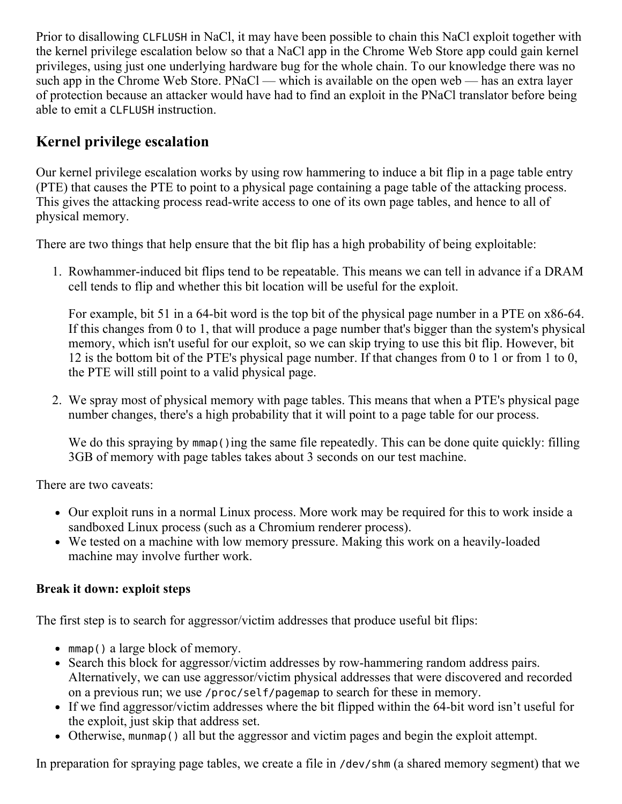Prior to disallowing CLFLUSH in NaCl, it may have been possible to chain this NaCl exploit together with the kernel privilege escalation below so that a NaCl app in the Chrome Web Store app could gain kernel privileges, using just one underlying hardware bug for the whole chain. To our knowledge there was no such app in the Chrome Web Store. PNaCl — which is available on the open web — has an extra layer of protection because an attacker would have had to find an exploit in the PNaCl translator before being able to emit a CLFLUSH instruction.

### <span id="page-5-0"></span>**Kernel privilege escalation**

Our kernel privilege escalation works by using row hammering to induce a bit flip in a page table entry (PTE) that causes the PTE to point to a physical page containing a page table of the attacking process. This gives the attacking process read-write access to one of its own page tables, and hence to all of physical memory.

There are two things that help ensure that the bit flip has a high probability of being exploitable:

1. Rowhammer-induced bit flips tend to be repeatable. This means we can tell in advance if a DRAM cell tends to flip and whether this bit location will be useful for the exploit.

For example, bit 51 in a 64-bit word is the top bit of the physical page number in a PTE on  $x86-64$ . If this changes from 0 to 1, that will produce a page number that's bigger than the system's physical memory, which isn't useful for our exploit, so we can skip trying to use this bit flip. However, bit 12 is the bottom bit of the PTE's physical page number. If that changes from 0 to 1 or from 1 to 0, the PTE will still point to a valid physical page.

2. We spray most of physical memory with page tables. This means that when a PTE's physical page number changes, there's a high probability that it will point to a page table for our process.

We do this spraying by mmap() ing the same file repeatedly. This can be done quite quickly: filling 3GB of memory with page tables takes about 3 seconds on our test machine.

There are two caveats:

- Our exploit runs in a normal Linux process. More work may be required for this to work inside a sandboxed Linux process (such as a Chromium renderer process).
- We tested on a machine with low memory pressure. Making this work on a heavily-loaded machine may involve further work.

#### <span id="page-5-1"></span>**Break it down: exploit steps**

The first step is to search for aggressor/victim addresses that produce useful bit flips:

- $\bullet$  mmap() a large block of memory.
- Search this block for aggressor/victim addresses by row-hammering random address pairs. Alternatively, we can use aggressor/victim physical addresses that were discovered and recorded on a previous run; we use /proc/self/pagemap to search for these in memory.
- If we find aggressor/victim addresses where the bit flipped within the 64-bit word isn't useful for the exploit, just skip that address set.
- Otherwise, munmap() all but the aggressor and victim pages and begin the exploit attempt.

In preparation for spraying page tables, we create a file in /dev/shm(a shared memory segment) that we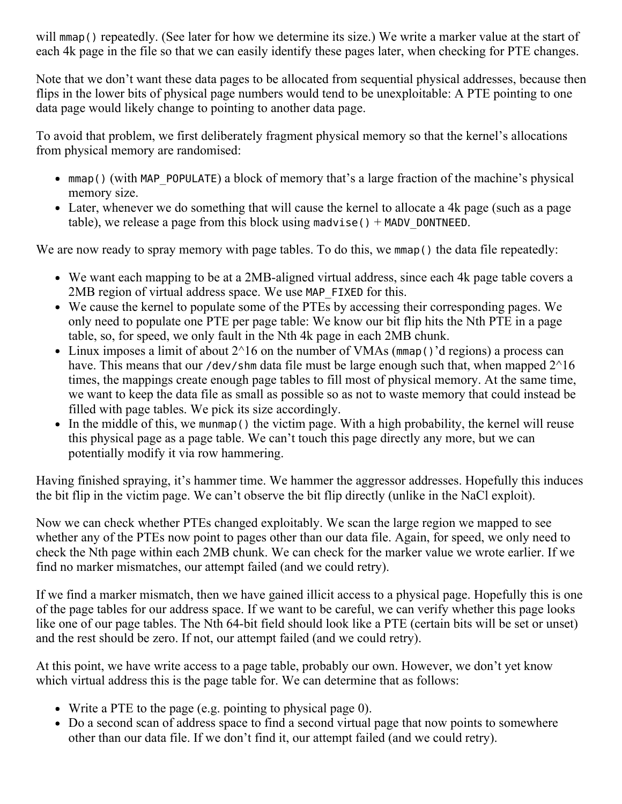will mmap() repeatedly. (See later for how we determine its size.) We write a marker value at the start of each 4k page in the file so that we can easily identify these pages later, when checking for PTE changes.

Note that we don't want these data pages to be allocated from sequential physical addresses, because then flips in the lower bits of physical page numbers would tend to be unexploitable: A PTE pointing to one data page would likely change to pointing to another data page.

To avoid that problem, we first deliberately fragment physical memory so that the kernel's allocations from physical memory are randomised:

- mmap() (with MAP POPULATE) a block of memory that's a large fraction of the machine's physical memory size.
- Later, whenever we do something that will cause the kernel to allocate a 4k page (such as a page table), we release a page from this block using madvise()  $+$  MADV DONTNEED.

We are now ready to spray memory with page tables. To do this, we  $\mathsf{mmap}(\cdot)$  the data file repeatedly:

- $\bullet$  We want each mapping to be at a 2MB-aligned virtual address, since each 4k page table covers a 2MB region of virtual address space. We use MAP FIXED for this.
- We cause the kernel to populate some of the PTEs by accessing their corresponding pages. We only need to populate one PTE per page table: We know our bit flip hits the Nth PTE in a page table, so, for speed, we only fault in the Nth 4k page in each 2MB chunk.
- Linux imposes a limit of about  $2^{\wedge}16$  on the number of VMAs (mmap()'d regions) a process can have. This means that our /dev/shm data file must be large enough such that, when mapped  $2^{\wedge}16$ times, the mappings create enough page tables to fill most of physical memory. At the same time, we want to keep the data file as small as possible so as not to waste memory that could instead be filled with page tables. We pick its size accordingly.
- In the middle of this, we munmap() the victim page. With a high probability, the kernel will reuse this physical page as a page table. We can't touch this page directly any more, but we can potentially modify it via row hammering.

Having finished spraying, it's hammer time. We hammer the aggressor addresses. Hopefully this induces the bit flip in the victim page. We can't observe the bit flip directly (unlike in the NaCl exploit).

Now we can check whether PTEs changed exploitably. We scan the large region we mapped to see whether any of the PTEs now point to pages other than our data file. Again, for speed, we only need to check the Nth page within each 2MB chunk. We can check for the marker value we wrote earlier. If we find no marker mismatches, our attempt failed (and we could retry).

If we find a marker mismatch, then we have gained illicit access to a physical page. Hopefully this is one of the page tables for our address space. If we want to be careful, we can verify whether this page looks like one of our page tables. The Nth 64-bit field should look like a PTE (certain bits will be set or unset) and the rest should be zero. If not, our attempt failed (and we could retry).

At this point, we have write access to a page table, probably our own. However, we don't yet know which virtual address this is the page table for. We can determine that as follows:

- Write a PTE to the page (e.g. pointing to physical page 0).
- Do a second scan of address space to find a second virtual page that now points to somewhere other than our data file. If we don't find it, our attempt failed (and we could retry).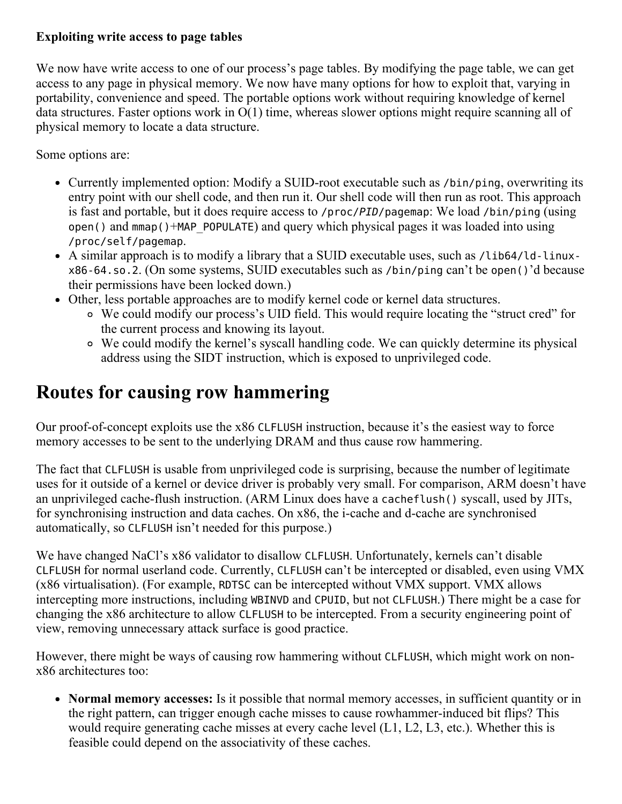#### <span id="page-7-0"></span>**Exploiting write access to page tables**

We now have write access to one of our process's page tables. By modifying the page table, we can get access to any page in physical memory. We now have many options for how to exploit that, varying in portability, convenience and speed. The portable options work without requiring knowledge of kernel data structures. Faster options work in O(1) time, whereas slower options might require scanning all of physical memory to locate a data structure.

Some options are:

- Currently implemented option: Modify a SUID-root executable such as /bin/ping, overwriting its entry point with our shell code, and then run it. Our shell code will then run as root. This approach is fast and portable, but it does require access to /proc/*PID*/pagemap: We load /bin/ping(using open() and  $mmap()$ +MAP\_POPULATE) and query which physical pages it was loaded into using /proc/self/pagemap.
- A similar approach is to modify a library that a SUID executable uses, such as /lib64/ld-linuxx86-64.so.2. (On some systems, SUID executables such as /bin/pingcan't be open()'d because their permissions have been locked down.)
- Other, less portable approaches are to modify kernel code or kernel data structures.
	- We could modify our process's UID field. This would require locating the "struct cred" for the current process and knowing its layout.
	- We could modify the kernel's syscall handling code. We can quickly determine its physical address using the SIDT instruction, which is exposed to unprivileged code.

### <span id="page-7-1"></span>**Routes for causing row hammering**

Our proof-of-concept exploits use the x86 CLFLUSH instruction, because it's the easiest way to force memory accesses to be sent to the underlying DRAM and thus cause row hammering.

The fact that CLFLUSH is usable from unprivileged code is surprising, because the number of legitimate uses for it outside of a kernel or device driver is probably very small. For comparison, ARM doesn't have an unprivileged cache-flush instruction. (ARM Linux does have a cacheflush() syscall, used by JITs, for synchronising instruction and data caches. On x86, the i-cache and d-cache are synchronised automatically, so CLFLUSH isn't needed for this purpose.)

We have changed NaCl's x86 validator to disallow CLFLUSH. Unfortunately, kernels can't disable CLFLUSH for normal userland code. Currently, CLFLUSH can't be intercepted or disabled, even using VMX (x86 virtualisation). (For example, RDTSC can be intercepted without VMX support. VMX allows intercepting more instructions, including WBINVD and CPUID, but not CLFLUSH.) There might be a case for changing the x86 architecture to allow CLFLUSH to be intercepted. From a security engineering point of view, removing unnecessary attack surface is good practice.

However, there might be ways of causing row hammering without CLFLUSH, which might work on nonx86 architectures too:

**Normal memory accesses:** Is it possible that normal memory accesses, in sufficient quantity or in the right pattern, can trigger enough cache misses to cause rowhammer-induced bit flips? This would require generating cache misses at every cache level (L1, L2, L3, etc.). Whether this is feasible could depend on the associativity of these caches.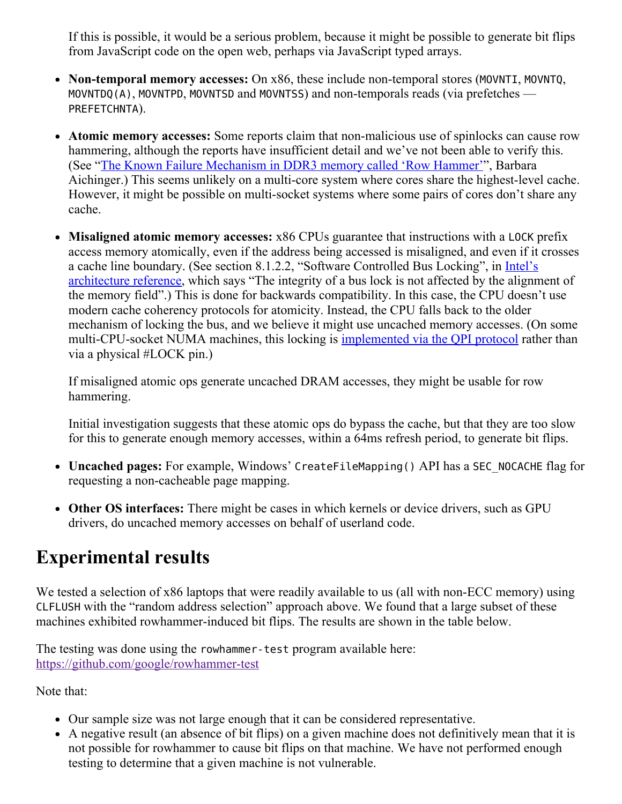If this is possible, it would be a serious problem, because it might be possible to generate bit flips from JavaScript code on the open web, perhaps via JavaScript typed arrays.

- Non-temporal memory accesses: On x86, these include non-temporal stores (MOVNTI, MOVNTO, MOVNTDQ(A), MOVNTPD, MOVNTSD and MOVNTSS) and non-temporals reads (via prefetches  $-$ PREFETCHNTA).
- Atomic memory **accesses:** Some reports claim that non-malicious use of spinlocks can cause row hammering, although the reports have insufficient detail and we've not been able to verify this. (See "The Known Failure [Mechanism](http://www.futureplus.com/images/FS2800/The%20Known%20Failure%20Mechanism%20in%20DDR3%20memory%20called%20Row%20Hammer.pdf) in DDR3 memory called 'Row Hammer'", Barbara Aichinger.) This seems unlikely on a multi-core system where cores share the highest-level cache. However, it might be possible on multi-socket systems where some pairs of cores don't share any cache.
- Misaligned atomic memory accesses:  $x86$  CPUs guarantee that instructions with a LOCK prefix access memory atomically, even if the address being accessed is misaligned, and even if it crosses a cache line boundary. (See section 8.1.2.2, "Software Controlled Bus Locking", in *Intel's* [architecture](http://download.intel.com/products/processor/manual/325462.pdf) reference, which says "The integrity of a bus lock is not affected by the alignment of the memory field".) This is done for backwards compatibility. In this case, the CPU doesn't use modern cache coherency protocols for atomicity. Instead, the CPU falls back to the older mechanism of locking the bus, and we believe it might use uncached memory accesses. (On some multi-CPU-socket NUMA machines, this locking is *[implemented](http://www.drdobbs.com/parallel/quickpath-interconnect-rules-of-the-rev/221600290?pgno=5) via the QPI protocol* rather than via a physical #LOCK pin.)

If misaligned atomic ops generate uncached DRAM accesses, they might be usable for row hammering.

Initial investigation suggests that these atomic ops do bypass the cache, but that they are too slow for this to generate enough memory accesses, within a 64ms refresh period, to generate bit flips.

- **Uncached pages:** For example, Windows' CreateFileMapping()API has a SEC\_NOCACHEflag for requesting a non-cacheable page mapping.
- **Other OS interfaces:** There might be cases in which kernels or device drivers, such as GPU drivers, do uncached memory accesses on behalf of userland code.

### <span id="page-8-0"></span>**Experimental results**

We tested a selection of  $x86$  laptops that were readily available to us (all with non-ECC memory) using CLFLUSH with the "random address selection" approach above. We found that a large subset of these machines exhibited rowhammer-induced bit flips. The results are shown in the table below.

The testing was done using the rowhammer-test program available here: https://github.com/google/rowhammer-test

Note that:

- Our sample size was not large enough that it can be considered representative.
- A negative result (an absence of bit flips) on a given machine does not definitively mean that it is not possible for rowhammer to cause bit flips on that machine. We have not performed enough testing to determine that a given machine is not vulnerable.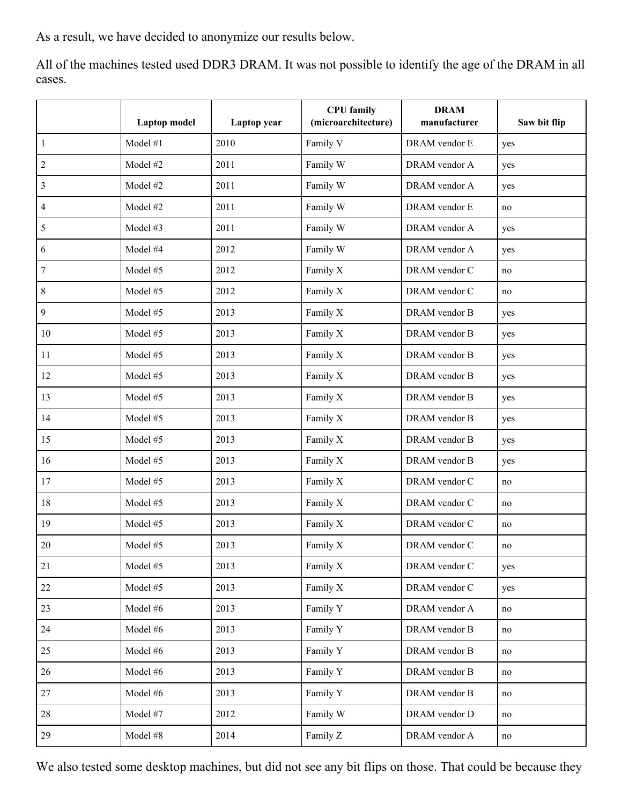As a result, we have decided to anonymize our results below.

All of the machines tested used DDR3 DRAM. It was not possible to identify the age of the DRAM in all cases.

|                  | Laptop model | Laptop year | <b>CPU</b> family<br>(microarchitecture) | <b>DRAM</b><br>manufacturer | Saw bit flip |
|------------------|--------------|-------------|------------------------------------------|-----------------------------|--------------|
| $\mathbf{1}$     | Model #1     | 2010        | Family V                                 | DRAM vendor E               | yes          |
| $\overline{c}$   | Model #2     | 2011        | Family W                                 | DRAM vendor A               | yes          |
| $\mathfrak{Z}$   | Model #2     | 2011        | Family W                                 | DRAM vendor A               | yes          |
| 4                | Model #2     | 2011        | Family W                                 | DRAM vendor E               | no           |
| 5                | Model #3     | 2011        | Family W                                 | DRAM vendor A               | yes          |
| 6                | Model #4     | 2012        | Family W                                 | DRAM vendor A               | yes          |
| $\boldsymbol{7}$ | Model #5     | 2012        | Family X                                 | DRAM vendor C               | no           |
| 8                | Model #5     | 2012        | Family X                                 | DRAM vendor C               | no           |
| 9                | Model #5     | 2013        | Family X                                 | DRAM vendor B               | yes          |
| 10               | Model #5     | 2013        | Family X                                 | DRAM vendor B               | yes          |
| 11               | Model #5     | 2013        | Family X                                 | DRAM vendor B               | yes          |
| 12               | Model #5     | 2013        | Family X                                 | DRAM vendor B               | yes          |
| 13               | Model #5     | 2013        | Family X                                 | DRAM vendor B               | yes          |
| 14               | Model #5     | 2013        | Family X                                 | DRAM vendor B               | yes          |
| 15               | Model #5     | 2013        | Family X                                 | DRAM vendor B               | yes          |
| 16               | Model #5     | 2013        | Family X                                 | DRAM vendor B               | yes          |
| 17               | Model #5     | 2013        | Family X                                 | DRAM vendor C               | no           |
| 18               | Model #5     | 2013        | Family X                                 | DRAM vendor C               | no           |
| 19               | Model #5     | 2013        | Family X                                 | DRAM vendor C               | no           |
| $20\,$           | Model #5     | 2013        | Family X                                 | DRAM vendor C               | no           |
| 21               | Model #5     | 2013        | Family X                                 | DRAM vendor C               | yes          |
| 22               | Model #5     | 2013        | Family X                                 | DRAM vendor C               | yes          |
| 23               | Model #6     | 2013        | Family Y                                 | DRAM vendor A               | no           |
| 24               | Model #6     | 2013        | Family Y                                 | DRAM vendor B               | no           |
| 25               | Model #6     | 2013        | Family Y                                 | DRAM vendor B               | no           |
| $26\,$           | Model #6     | 2013        | Family Y                                 | DRAM vendor B               | no           |
| $27\,$           | Model #6     | 2013        | Family Y                                 | DRAM vendor B               | no           |
| 28               | Model #7     | 2012        | Family W                                 | DRAM vendor D               | no           |
| 29               | Model #8     | 2014        | Family Z                                 | DRAM vendor A               | $\rm no$     |

We also tested some desktop machines, but did not see any bit flips on those. That could be because they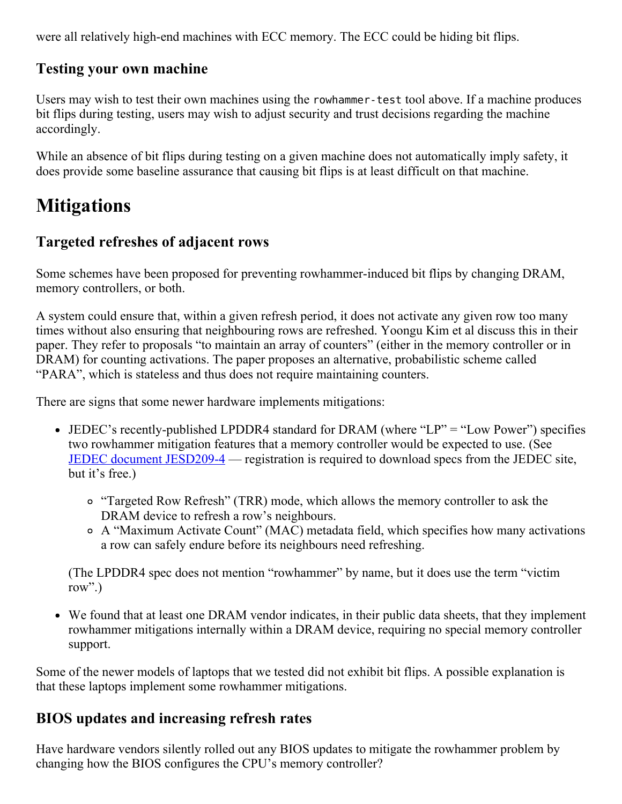were all relatively high-end machines with ECC memory. The ECC could be hiding bit flips.

### <span id="page-10-3"></span>**Testing your own machine**

Users may wish to test their own machines using the rowhammer-test tool above. If a machine produces bit flips during testing, users may wish to adjust security and trust decisions regarding the machine accordingly.

While an absence of bit flips during testing on a given machine does not automatically imply safety, it does provide some baseline assurance that causing bit flips is at least difficult on that machine.

### <span id="page-10-2"></span>**Mitigations**

### <span id="page-10-1"></span>**Targeted refreshes of adjacent rows**

Some schemes have been proposed for preventing rowhammer-induced bit flips by changing DRAM, memory controllers, or both.

A system could ensure that, within a given refresh period, it does not activate any given row too many times without also ensuring that neighbouring rows are refreshed. Yoongu Kim et al discuss this in their paper. They refer to proposals "to maintain an array of counters" (either in the memory controller or in DRAM) for counting activations. The paper proposes an alternative, probabilistic scheme called "PARA", which is stateless and thus does not require maintaining counters.

There are signs that some newer hardware implements mitigations:

- JEDEC's recently-published LPDDR4 standard for DRAM (where "LP" = "Low Power") specifies two rowhammer mitigation features that a memory controller would be expected to use. (See JEDEC document [JESD2094](http://www.jedec.org/standards-documents/results/jesd209-4) — registration is required to download specs from the JEDEC site, but it's free.)
	- <sup>o</sup> "Targeted Row Refresh" (TRR) mode, which allows the memory controller to ask the DRAM device to refresh a row's neighbours.
	- A "Maximum Activate Count" (MAC) metadata field, which specifies how many activations a row can safely endure before its neighbours need refreshing.

(The LPDDR4 spec does not mention "rowhammer" by name, but it does use the term "victim row".)

We found that at least one DRAM vendor indicates, in their public data sheets, that they implement rowhammer mitigations internally within a DRAM device, requiring no special memory controller support.

Some of the newer models of laptops that we tested did not exhibit bit flips. A possible explanation is that these laptops implement some rowhammer mitigations.

### <span id="page-10-0"></span>**BIOS updates and increasing refresh rates**

Have hardware vendors silently rolled out any BIOS updates to mitigate the rowhammer problem by changing how the BIOS configures the CPU's memory controller?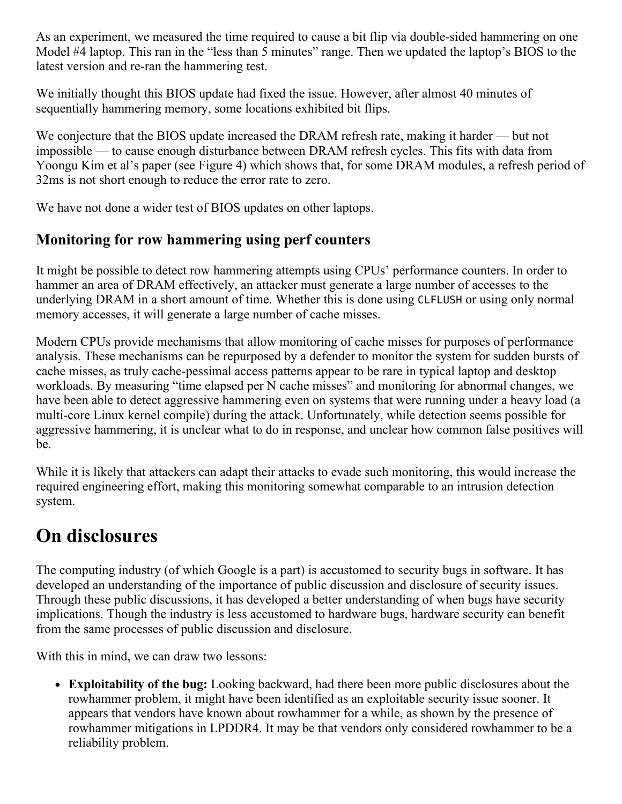As an experiment, we measured the time required to cause a bit flip via double-sided hammering on one Model #4 laptop. This ran in the "less than 5 minutes" range. Then we updated the laptop's BIOS to the latest version and re-ran the hammering test.

We initially thought this BIOS update had fixed the issue. However, after almost 40 minutes of sequentially hammering memory, some locations exhibited bit flips.

We conjecture that the BIOS update increased the DRAM refresh rate, making it harder — but not impossible — to cause enough disturbance between DRAM refresh cycles. This fits with data from Yoongu Kim et al's paper (see Figure 4) which shows that, for some DRAM modules, a refresh period of 32ms is not short enough to reduce the error rate to zero.

We have not done a wider test of BIOS updates on other laptops.

### <span id="page-11-1"></span>**Monitoring for row hammering using perf counters**

It might be possible to detect row hammering attempts using CPUs' performance counters. In order to hammer an area of DRAM effectively, an attacker must generate a large number of accesses to the underlying DRAM in a short amount of time. Whether this is done using CLFLUSH or using only normal memory accesses, it will generate a large number of cache misses.

Modern CPUs provide mechanisms that allow monitoring of cache misses for purposes of performance analysis. These mechanisms can be repurposed by a defender to monitor the system for sudden bursts of cache misses, as truly cache-pessimal access patterns appear to be rare in typical laptop and desktop workloads. By measuring "time elapsed per N cache misses" and monitoring for abnormal changes, we have been able to detect aggressive hammering even on systems that were running under a heavy load (a multi-core Linux kernel compile) during the attack. Unfortunately, while detection seems possible for aggressive hammering, it is unclear what to do in response, and unclear how common false positives will be.

While it is likely that attackers can adapt their attacks to evade such monitoring, this would increase the required engineering effort, making this monitoring somewhat comparable to an intrusion detection system.

### <span id="page-11-0"></span>**On disclosures**

The computing industry (of which Google is a part) is accustomed to security bugs in software. It has developed an understanding of the importance of public discussion and disclosure of security issues. Through these public discussions, it has developed a better understanding of when bugs have security implications. Though the industry is less accustomed to hardware bugs, hardware security can benefit from the same processes of public discussion and disclosure.

With this in mind, we can draw two lessons:

**Exploitability of the bug:** Looking backward, had there been more public disclosures about the rowhammer problem, it might have been identified as an exploitable security issue sooner. It appears that vendors have known about rowhammer for a while, as shown by the presence of rowhammer mitigations in LPDDR4. It may be that vendors only considered rowhammer to be a reliability problem.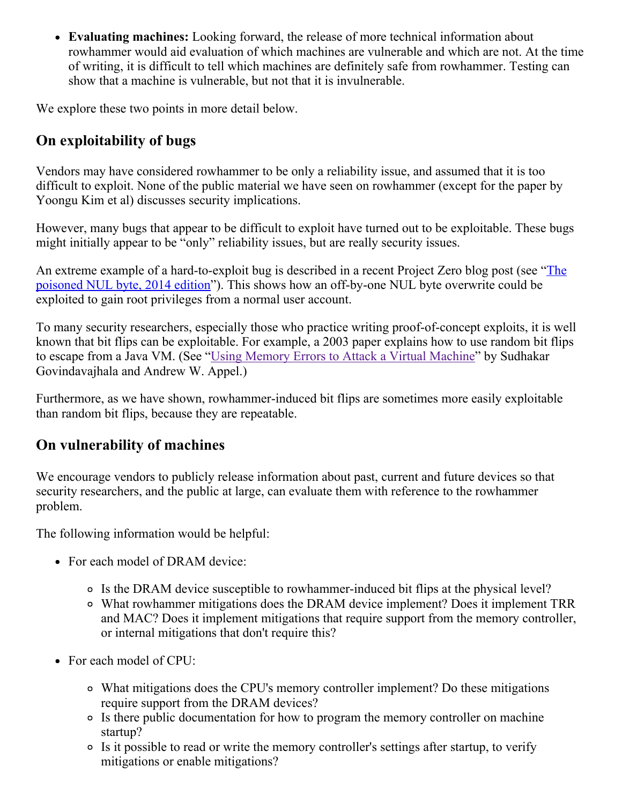**Evaluating machines:** Looking forward, the release of more technical information about rowhammer would aid evaluation of which machines are vulnerable and which are not. At the time of writing, it is difficult to tell which machines are definitely safe from rowhammer. Testing can show that a machine is vulnerable, but not that it is invulnerable.

We explore these two points in more detail below.

### <span id="page-12-1"></span>**On exploitability of bugs**

Vendors may have considered rowhammer to be only a reliability issue, and assumed that it is too difficult to exploit. None of the public material we have seen on rowhammer (except for the paper by Yoongu Kim et al) discusses security implications.

However, many bugs that appear to be difficult to exploit have turned out to be exploitable. These bugs might initially appear to be "only" reliability issues, but are really security issues.

An extreme example of a hard-to-exploit bug is described in a recent Project Zero blog post (see "The poisoned NUL byte, 2014 edition"). This shows how an off-by-one NUL byte overwrite could be exploited to gain root privileges from a normal user account.

To many security researchers, especially those who practice writing proof-of-concept exploits, it is well known that bit flips can be exploitable. For example, a 2003 paper explains how to use random bit flips to escape from a Java VM. (See "Using Memory Errors to Attack a Virtual [Machine"](https://www.cs.princeton.edu/~appel/papers/memerr.pdf) by Sudhakar Govindavajhala and Andrew W. Appel.)

Furthermore, as we have shown, rowhammer-induced bit flips are sometimes more easily exploitable than random bit flips, because they are repeatable.

### <span id="page-12-0"></span>**On vulnerability of machines**

We encourage vendors to publicly release information about past, current and future devices so that security researchers, and the public at large, can evaluate them with reference to the rowhammer problem.

The following information would be helpful:

- For each model of DRAM device:
	- Is the DRAM device susceptible to rowhammer-induced bit flips at the physical level?
	- What rowhammer mitigations does the DRAM device implement? Does it implement TRR and MAC? Does it implement mitigations that require support from the memory controller, or internal mitigations that don't require this?
- For each model of CPU:
	- What mitigations does the CPU's memory controller implement? Do these mitigations require support from the DRAM devices?
	- Is there public documentation for how to program the memory controller on machine startup?
	- Is it possible to read or write the memory controller's settings after startup, to verify mitigations or enable mitigations?